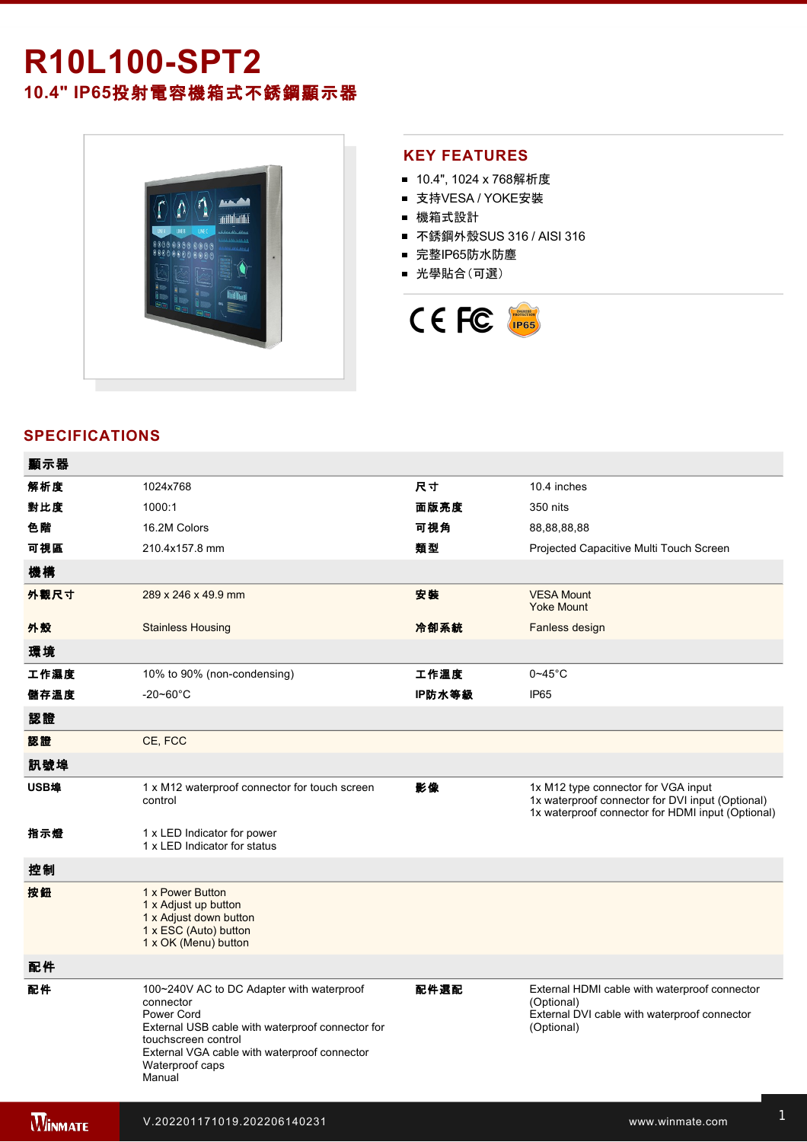# **R10L100SPT2 10.4" IP65**投射電容機箱式不銹鋼顯示器



### **KEY FEATURES**

- 10.4", 1024 x 768解析度
- 支持VESA / YOKE安裝
- 機箱式設計
- 不銹鋼外殼SUS 316 / AISI 316
- 完整IP65防水防塵
- 光學貼合(可選)



## **SPECIFICATIONS**

電源規格 12V DC (M12 type)

| 顯示器            |                                                                                                                                                                                                                              |        |                                                                                                                                              |
|----------------|------------------------------------------------------------------------------------------------------------------------------------------------------------------------------------------------------------------------------|--------|----------------------------------------------------------------------------------------------------------------------------------------------|
| 解析度            | 1024x768                                                                                                                                                                                                                     | 尺寸     | 10.4 inches                                                                                                                                  |
| 對比度            | 1000:1                                                                                                                                                                                                                       | 面版亮度   | 350 nits                                                                                                                                     |
| 色階             | 16.2M Colors                                                                                                                                                                                                                 | 可視角    | 88,88,88,88                                                                                                                                  |
| 可視區            | 210.4x157.8 mm                                                                                                                                                                                                               | 類型     | Projected Capacitive Multi Touch Screen                                                                                                      |
| 機構             |                                                                                                                                                                                                                              |        |                                                                                                                                              |
| 外觀尺寸           | 289 x 246 x 49.9 mm                                                                                                                                                                                                          | 安装     | <b>VESA Mount</b><br><b>Yoke Mount</b>                                                                                                       |
| 外殼             | <b>Stainless Housing</b>                                                                                                                                                                                                     | 冷卻系統   | Fanless design                                                                                                                               |
| 環境             |                                                                                                                                                                                                                              |        |                                                                                                                                              |
| 工作濕度           | 10% to 90% (non-condensing)                                                                                                                                                                                                  | 工作溫度   | $0 - 45$ °C                                                                                                                                  |
| 儲存溫度           | $-20 - 60^{\circ}$ C                                                                                                                                                                                                         | IP防水等級 | <b>IP65</b>                                                                                                                                  |
| 認證             |                                                                                                                                                                                                                              |        |                                                                                                                                              |
| 認證             | CE, FCC                                                                                                                                                                                                                      |        |                                                                                                                                              |
| 訊號埠            |                                                                                                                                                                                                                              |        |                                                                                                                                              |
| USB埠           | 1 x M12 waterproof connector for touch screen<br>control                                                                                                                                                                     | 影像     | 1x M12 type connector for VGA input<br>1x waterproof connector for DVI input (Optional)<br>1x waterproof connector for HDMI input (Optional) |
| 指示燈            | 1 x LED Indicator for power<br>1 x LED Indicator for status                                                                                                                                                                  |        |                                                                                                                                              |
| 控制             |                                                                                                                                                                                                                              |        |                                                                                                                                              |
| 按鈕             | 1 x Power Button<br>1 x Adjust up button<br>1 x Adjust down button<br>1 x ESC (Auto) button<br>1 x OK (Menu) button                                                                                                          |        |                                                                                                                                              |
| 配件             |                                                                                                                                                                                                                              |        |                                                                                                                                              |
| 配件             | 100~240V AC to DC Adapter with waterproof<br>connector<br>Power Cord<br>External USB cable with waterproof connector for<br>touchscreen control<br>External VGA cable with waterproof connector<br>Waterproof caps<br>Manual | 配件選配   | External HDMI cable with waterproof connector<br>(Optional)<br>External DVI cable with waterproof connector<br>(Optional)                    |
| <b>WINNATE</b> | V.202201171019.202206140231                                                                                                                                                                                                  |        | www.winmate.com                                                                                                                              |